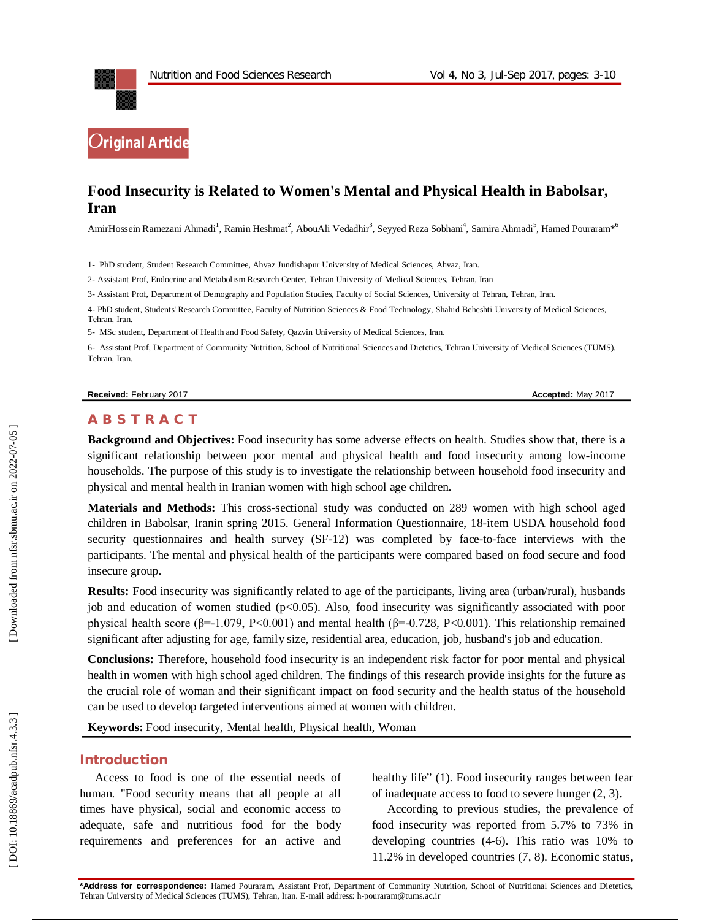

# **Food Insecurity is Related to Women's Mental and Physical Health in Babolsar, Iran**

AmirHossein Ramezani Ahmadi<sup>1</sup>, Ramin Heshmat<sup>2</sup>, AbouAli Vedadhir<sup>3</sup>, Seyyed Reza Sobhani<sup>4</sup>, Samira Ahmadi<sup>5</sup>, Hamed Pouraram\*<sup>6</sup>

1 - PhD student, Student Research Committee, Ahvaz Jundishapur University of Medical Sciences, Ahvaz, Iran.

2 - Assistant Prof, Endocrine and Metabolism Research Center, Tehran University of Medical Sciences, Tehran, Iran

3 - Assistant Prof, Department of Demography and Population Studies, Faculty of Social Sciences, University of Tehran, Tehran, Iran .

4 - PhD student, Students' Research Committee, Faculty of Nutrition Sciences & Food Technology, Shahid Beheshti University of Medical Sciences, Tehran, Iran.

5- MSc student, Department of Health and Food Safety, Qazvin University of Medical Sciences, Iran .

6 - Assistant Prof, Department of Community Nutrition, School of Nutritional Sciences and Dietetics, Tehran University of Medical Sciences (TUMS), Tehran, Iran .

#### **Received:** February 201

7 **Accepted:** May 201 7

#### **A B S T R A C T**

**Background and Objectives:** Food insecurity has some adverse effects on health. Studies show that, there is a significant relationship between poor mental and physical health and food insecurity among low -income households. The purpose of this study is to investigate the relationship between household food insecurity and physical and mental health in Iranian women with high school age children.

**Materials and Methods:** This cross -sectional study was conducted on 289 women with high school aged children in Babolsar, Iranin spring 2015. General Information Questionnaire, 18 -item USDA household food security questionnaires and health survey (SF-12) was completed by face-to-face interviews with the participants. The mental and physical health of the participants were compared based on food secure and food insecure group.

**Results:** Food insecurity was significantly related to age of the participants, living area (urban/rural), husbands job and education of women studied  $(p<0.05)$ . Also, food insecurity was significantly associated with poor physical health score (β=-1.079, P<0.001) and mental health (β=-0.728, P<0.001). This relationship remained significant after adjusting for age, family size, residential area, education, job, husband's job and education.

**Conclusions:** Therefore , household food insecurity is an independent risk factor for poor mental and physical health in women with high school aged children. The findings of this research provide insights for the future as the crucial role of woman and their significant impact on food security and the health status of the household can be used to develop targeted interventions aimed at women with children .

**Keywords:** Food insecurity, Mental health, Physical health, Woman

### **Introduction**

Access to food is one of the essential needs of human. "Food security means that all people at all times have physical, social and economic access to adequate, safe and nutritious food for the body requirements and preferences for an active and healthy life" (1). Food insecurity ranges between fear of inadequate access to food to severe hunger (2, 3) .

According to previous studies, the prevalence of food insecurity was reported from 5.7% to 73% in developing countries (4 -6). This ratio was 10% to 11.2% in developed countries (7, 8). Economic status,

**\*Address for correspondence:** Hamed Pouraram, Assistant Prof, Department of Community Nutrition, School of Nutritional Sciences and Dietetics, Tehran University of Medical Sciences (TUMS), Tehran, Iran. E -mail address: h -pouraram@tums.ac.ir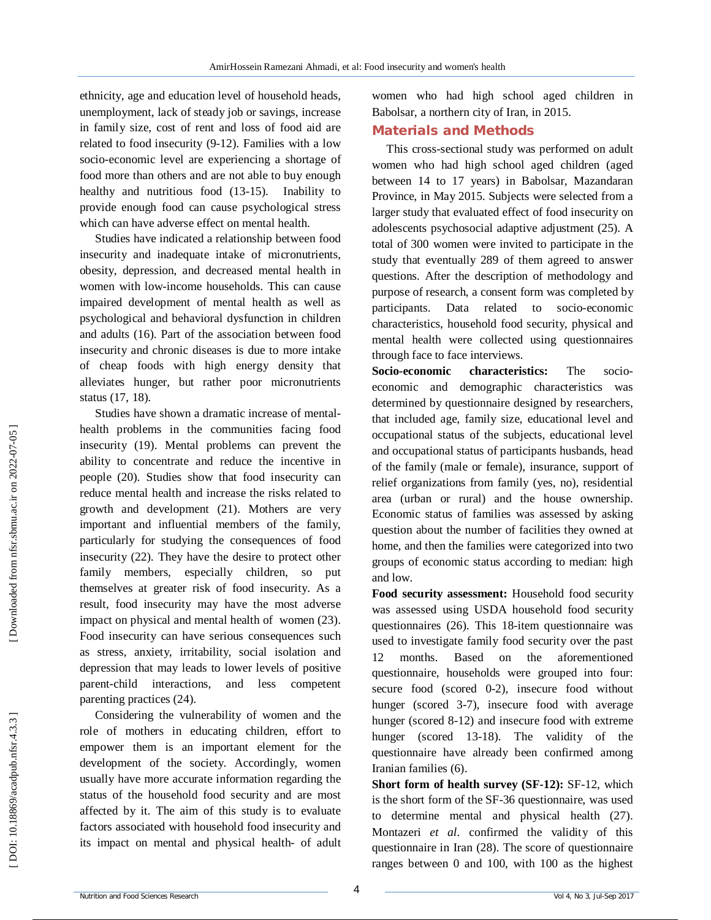ethnicity, age and education level of household heads, unemployment, lack of steady job or savings, increase in family size, cost of rent and loss of food aid are related to food insecurity (9 -12). Families with a low socio -economic level are experiencing a shortage of food more than others and are not able to buy enough healthy and nutritious food (13-15). Inability to provide enough food can cause psychological stress which can have adverse effect on mental health.

Studies have indicated a relationship between food insecurity and inadequate intake of micronutrients, obesity, depression, and decreased mental health in women with low -income households. This can cause impaired development of mental health as well as psychological and behavioral dysfunction in children and adults (16). Part of the association between food insecurity and chronic diseases is due to more intake of cheap foods with high energy density that alleviates hunger, but rather poor micronutrients status (17, 18) .

Studies have shown a dramatic increase of mental health problems in the communities facing food insecurity (19). Mental problems can prevent the ability to concentrate and reduce the incentive in people (20). Studies show that food insecurity can reduce mental health and increase the risks related to growth and development (21). Mothers are very important and influential members of the family, particularly for studying the consequences of food insecurity (22). They have the desire to protect other family members, especially children, so put themselves at greater risk of food insecurity. As a result, food insecurity may have the most adverse impact on physical and mental health of women (23). Food insecurity can have serious consequences such as stress, anxiety, irritability, social isolation and depression that may leads to lower levels of positive parent -child interactions, and less competent parenting practices (24) .

Considering the vulnerability of women and the role of mothers in educating children, effort to empower them is an important element for the development of the society. Accordingly, women usually have more accurate information regarding the status of the household food security and are most affected by it. The aim of this study is to evaluate factors associated with household food insecurity and its impact on mental and physical health- of adult women who had high school aged children in Babolsar, a northern city of Iran, in 2015.

### **Material s and Methods**

 This cross -sectional study was performed on adult women who had high school aged children (aged between 14 to 17 years) in Babolsar, Mazandaran Province, in May 2015. Subjects were selected from a larger study that evaluated effect of food insecurity on adolescents psychosocial adaptive adjustment (25). A total of 300 women were invited to participate in the study that eventually 289 of them agreed to answer questions. After the description of methodology and purpose of research, a consent form was completed by participants. Data related to socio -economic characteristics, household food security, physical and mental health were collected using questionnaires through face to face interviews.

**Socio characteristics:** The socioeconomic and demographic characteristics was determined by questionnaire designed by researchers, that included age, family size, educational level and occupational status of the subjects, educational level and occupational status of participants husbands, head of the family (male or female), insurance, support of relief organizations from family (yes, no), residential area (urban or rural) and the house ownership. Economic status of families was assessed by asking question about the number of facilities they owned at home, and then the families were categorized into two groups of economic status according to median: high and low.

**Food security assessment:** Household food security was assessed using USDA household food security questionnaires (26). This 18 -item questionnaire was used to investigate family food security over the past 12 months. Based on the aforementioned questionnaire, households were grouped into four: secure food (scored 0 -2), insecure food without hunger (scored 3 -7), insecure food with average hunger (scored 8 -12) and insecure food with extreme hunger (scored 13 -18). The validity of the questionnaire have already been confirmed among Iranian families (6).

**Short form of health survey (SF-12): SF-12, which** is the short form of the SF -36 questionnaire, was used to determine mental and physical health (27). Montazeri *et al*. confirmed the validity of this questionnaire in Iran (28). The score of questionnaire ranges between 0 and 100, with 100 as the highest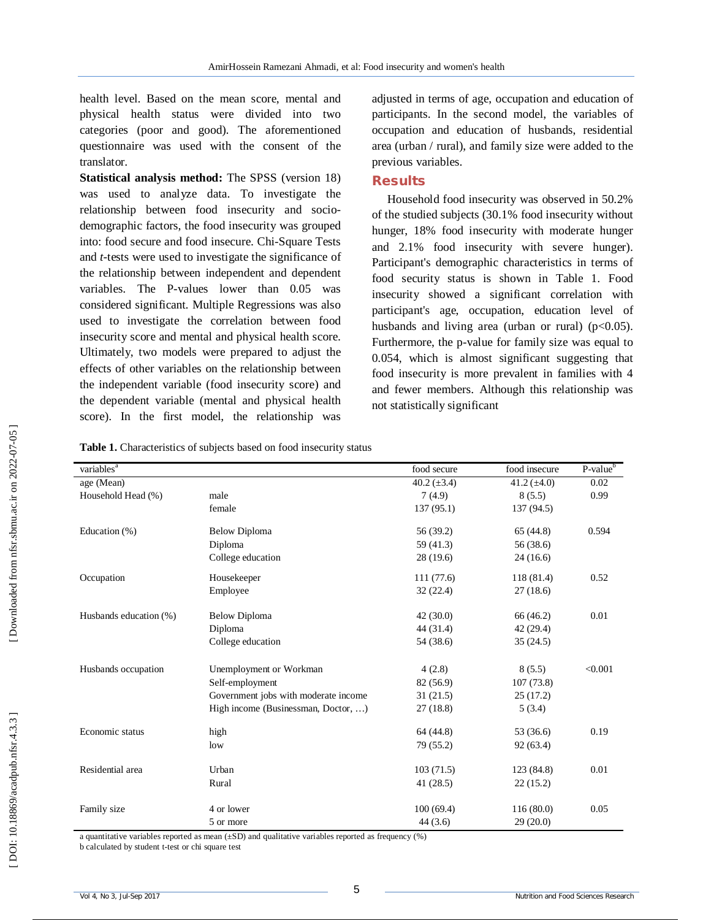health level. Based on the mean score, mental and physical health status were divided into two categories (poor and good). The aforementioned questionnaire was used with the consent of the translator.

**Statistical analysis method:** The SPSS (version 18) was used to analyze data. To investigate the relationship between food insecurity and socio demographic factors, the food insecurity was grouped into: food secure and food insecure. Chi -Square Tests and *t* -tests were used to investigate the significance of the relationship between independent and dependent variables. The P -values lower than 0.05 was considered significant. Multiple Regressions was also used to investigate the correlation between food insecurity score and mental and physical health score. Ultimately, two models were prepared to adjust the effects of other variables on the relationship between the independent variable (food insecurity score) and the dependent variable (mental and physical health score). In the first model, the relationship was

adjusted in terms of age, occupation and education of participants. In the second model, the variables of occupation and education of husbands, residential area (urban / rural), and family size were added to the previous variables.

### **Results**

Household food insecurity was observed in 50.2% of the studied subjects (30.1 % food insecurity without hunger, 18 % food insecurity with moderate hunger and 2.1 % food insecurity with severe hunger). Participant's demographic characteristics in terms of food security status is shown in Table 1. Food insecurity showed a significant correlation with participant's age, occupation, education level of husbands and living area (urban or rural) ( $p<0.05$ ). Furthermore, the p -value for family size was equal to 0.054, which is almost significant suggesting that food insecurity is more prevalent in families with 4 and fewer members. Although this relationship was not statistically significant

**Table 1.** Characteristics of subjects based on food insecurity status

| variables <sup>a</sup> |                                      | food secure      | food insecure    | P-value <sup>b</sup> |
|------------------------|--------------------------------------|------------------|------------------|----------------------|
| age (Mean)             |                                      | 40.2 $(\pm 3.4)$ | 41.2 $(\pm 4.0)$ | 0.02                 |
| Household Head (%)     | male                                 | 7(4.9)           | 8(5.5)           | 0.99                 |
|                        | female                               | 137(95.1)        | 137 (94.5)       |                      |
| Education (%)          | <b>Below Diploma</b>                 | 56 (39.2)        | 65(44.8)         | 0.594                |
|                        | Diploma                              | 59(41.3)         | 56 (38.6)        |                      |
|                        | College education                    | 28(19.6)         | 24(16.6)         |                      |
| Occupation             | Housekeeper                          | 111(77.6)        | 118 (81.4)       | 0.52                 |
|                        | Employee                             | 32(22.4)         | 27(18.6)         |                      |
| Husbands education (%) | <b>Below Diploma</b>                 | 42(30.0)         | 66 (46.2)        | 0.01                 |
|                        | Diploma                              | 44 (31.4)        | 42(29.4)         |                      |
|                        | College education                    | 54 (38.6)        | 35(24.5)         |                      |
| Husbands occupation    | Unemployment or Workman              | 4(2.8)           | 8(5.5)           | < 0.001              |
|                        | Self-employment                      | 82 (56.9)        | 107(73.8)        |                      |
|                        | Government jobs with moderate income | 31(21.5)         | 25(17.2)         |                      |
|                        | High income (Businessman, Doctor, )  | 27(18.8)         | 5(3.4)           |                      |
| Economic status        | high                                 | 64 (44.8)        | 53 (36.6)        | 0.19                 |
|                        | low                                  | 79 (55.2)        | 92(63.4)         |                      |
| Residential area       | Urban                                | 103(71.5)        | 123 (84.8)       | 0.01                 |
|                        | Rural                                | 41(28.5)         | 22(15.2)         |                      |
| Family size            | 4 or lower                           | 100(69.4)        | 116(80.0)        | 0.05                 |
|                        | 5 or more                            | 44(3.6)          | 29(20.0)         |                      |

a quantitative variables reported as mean (±SD) and qualitative variables reported as frequency (%)

b calculated by student t -test or chi square test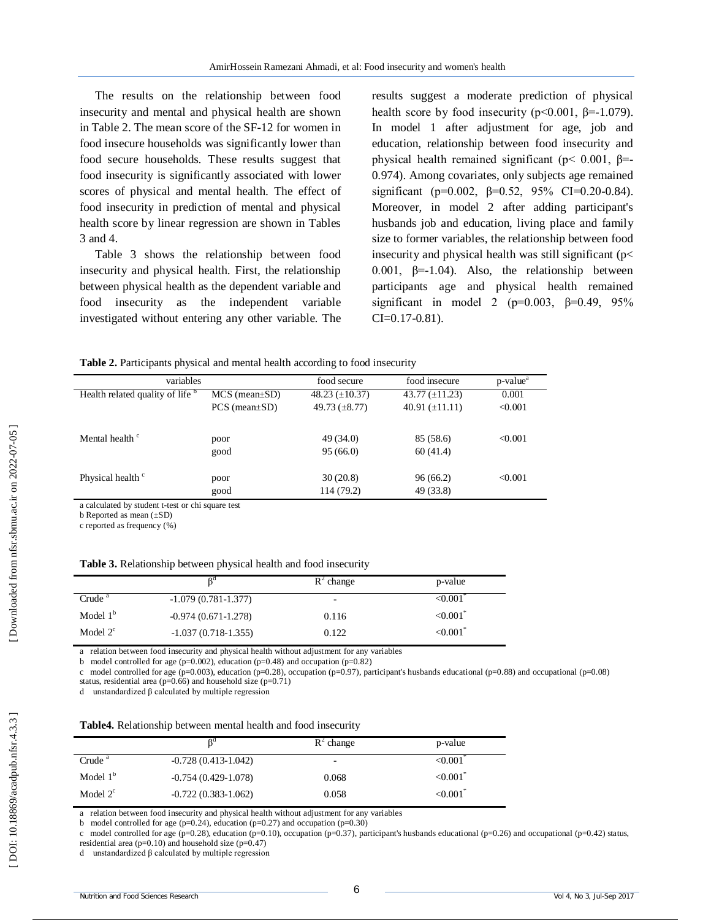The results on the relationship between food insecurity and mental and physical health are shown in Table 2. The mean score of the SF -12 for women in food insecure households was significantly lower than food secure households. These results suggest that food insecurity is significantly associated with lower scores of physical and mental health. The effect of food insecurity in prediction of mental and physical health score by linear regression are shown in Tables 3 and 4.

Table 3 shows the relationship between food insecurity and physical health. First, the relationship between physical health as the dependent variable and food insecurity as the independent variable investigated without entering any other variable. The

results suggest a moderate prediction of physical health score by food insecurity ( $p \le 0.001$ ,  $\beta = -1.079$ ). In model 1 after adjustment for age, job and education, relationship between food insecurity and physical health remained significant ( $p$ < 0.001,  $β$ = 0.974). Among covariates, only subjects age remained significant (p=0.002,  $\beta$ =0.52, 95% CI=0.20-0.84). Moreover, in model 2 after adding participant's husbands job and education, living place and family size to former variables, the relationship between food insecurity and physical health was still significant (p< 0.001,  $\beta$ =-1.04). Also, the relationship between participants age and physical health remained significant in model 2 (p=0.003,  $\beta$ =0.49, 95%  $CI = 0.17 - 0.81$ ).

**Table 2.** Participants physical and mental health according to food insecurity

| variables                        |                        | food secure         | food insecure       | p-value <sup>a</sup> |
|----------------------------------|------------------------|---------------------|---------------------|----------------------|
| Health related quality of life b | $MCS$ (mean $\pm SD$ ) | 48.23 $(\pm 10.37)$ | 43.77 $(\pm 11.23)$ | 0.001                |
|                                  | $PCS$ (mean $\pm SD$ ) | 49.73 $(\pm 8.77)$  | 40.91 $(\pm 11.11)$ | < 0.001              |
| Mental health <sup>c</sup>       | poor                   | 49 (34.0)           | 85 (58.6)           | < 0.001              |
|                                  | good                   | 95(66.0)            | 60(41.4)            |                      |
| Physical health <sup>c</sup>     | poor                   | 30(20.8)            | 96 (66.2)           | < 0.001              |
|                                  | good                   | 114 (79.2)          | 49 (33.8)           |                      |

a calculated by student t -test or chi square test

b Reported as mean (±SD)

c reported as frequency (%)

|                    | nu                    | $R^2$ change | p-value                   |
|--------------------|-----------------------|--------------|---------------------------|
| Crude <sup>a</sup> | $-1.079(0.781-1.377)$ | -            | < 0.001                   |
| Model $1b$         | $-0.974(0.671-1.278)$ | 0.116        | $< 0.001$ <sup>*</sup>    |
| Model $2^c$        | $-1.037(0.718-1.355)$ | 0.122        | $\leq 0.001$ <sup>*</sup> |

a relation between food insecurity and physical health without adjustment for any variables

b model controlled for age (p=0.002), education (p=0.48) and occupation (p=0.82)

c model controlled for age (p=0.003), education (p=0.28), occupation (p=0.97), participant's husbands educational (p=0.88) and occupational (p=0.08) status, residential area ( $p=0.66$ ) and household size ( $p=0.71$ )

d unstandardized β calculated by multiple regression

| Table4. Relationship between mental health and food insecurity |  |  |  |
|----------------------------------------------------------------|--|--|--|
|----------------------------------------------------------------|--|--|--|

|                    | od                      | $R^2$ change             | p-value                |
|--------------------|-------------------------|--------------------------|------------------------|
| Crude <sup>a</sup> | $-0.728(0.413-1.042)$   | $\overline{\phantom{a}}$ | < 0.001                |
| Model $1b$         | $-0.754(0.429-1.078)$   | 0.068                    | ${<}0.001^{\circ}$     |
| Model $2^c$        | $-0.722(0.383 - 1.062)$ | 0.058                    | $< 0.001$ <sup>*</sup> |

a relation between food insecurity and physical health without adjustment for any variables

b model controlled for age ( $p=0.24$ ), education ( $p=0.27$ ) and occupation ( $p=0.30$ )

c model controlled for age (p=0.28), education (p=0.10), occupation (p=0.37), participant's husbands educational (p=0.26) and occupational (p=0.42) status, residential area ( $p=0.10$ ) and household size ( $p=0.47$ )

d unstandardized β calculated by multiple regression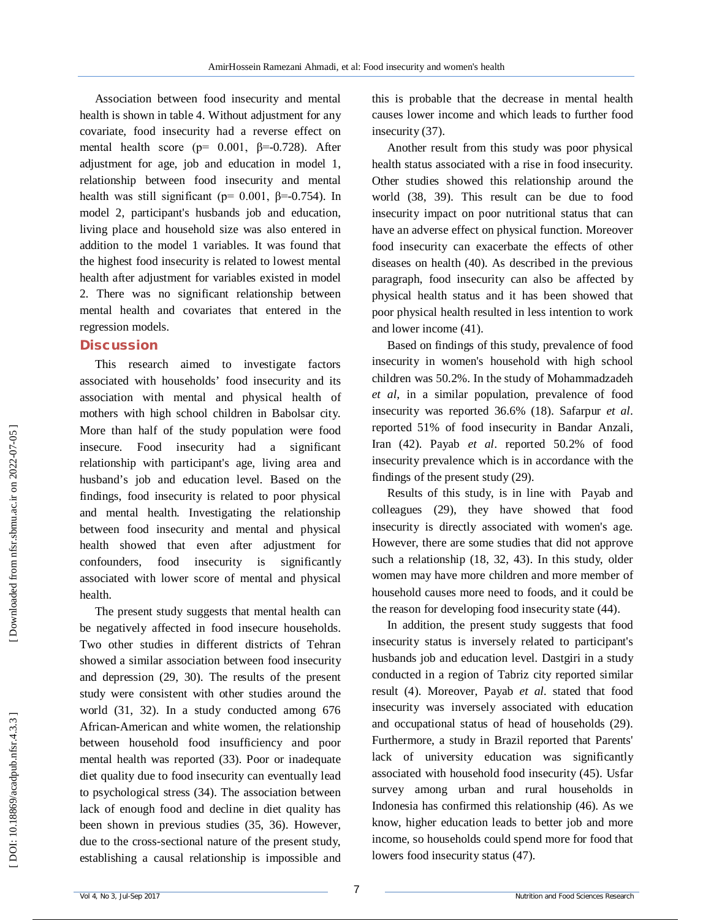Association between food insecurity and mental health is shown in table 4. Without adjustment for any covariate, food insecurity had a reverse effect on mental health score ( $p= 0.001$ ,  $\beta=0.728$ ). After adjustment for age, job and education in model 1, relationship between food insecurity and mental health was still significant ( $p= 0.001$ ,  $\beta = -0.754$ ). In model 2, participant's husbands job and education, living place and household size was also entered in addition to the model 1 variables. It was found that the highest food insecurity is related to lowest mental health after adjustment for variables existed in model 2. There was no significant relationship between mental health and covariates that entered in the regression models.

#### **Discussion**

This research aimed to investigate factors associated with households' food insecurity and its association with mental and physical health of mothers with high school children in Babolsar city. More than half of the study population were food insecure. Food insecurity had a significant relationship with participant's age, living area and husband's job and education level. Based on the findings, food insecurity is related to poor physical and mental health. Investigating the relationship between food insecurity and mental and physical health showed that even after adjustment for confounders, food insecurity is significantly associated with lower score of mental and physical health.

The present study suggests that mental health can be negatively affected in food insecure households. Two other studies in different districts of Tehran showed a similar association between food insecurity and depression (29, 30). The results of the present study were consistent with other studies around the world (31, 32). In a study conducted among 676 African -American and white women, the relationship between household food insufficiency and poor mental health was reported (33). Poor or inadequate diet quality due to food insecurity can eventually lead to psychological stress (34). The association between lack of enough food and decline in diet quality has been shown in previous studies (35, 36). However, due to the cross -sectional nature of the present study, establishing a causal relationship is impossible and

this is probable that the decrease in mental health causes lower income and which leads to further food insecurity (37) .

Another result from this study was poor physical health status associated with a rise in food insecurity. Other studies showed this relationship around the world (38, 39). This result can be due to food insecurity impact on poor nutritional status that can have an adverse effect on physical function. Moreover food insecurity can exacerbate the effects of other diseases on health (40). As described in the previous paragraph, food insecurity can also be affected by physical health status and it has been showed that poor physical health resulted in less intention to work and lower income (41).

Based on findings of this study, prevalence of food insecurity in women's household with high school children was 50.2%. In the study of Mohammadzadeh *et al*, in a similar population, prevalence of food insecurity was reported 36.6% (18). Safarpur *et al*. reported 51% of food insecurity in Bandar Anzali, Iran (42). Payab *et al*. reported 50.2% of food insecurity prevalence which is in accordance with the findings of the present study (29) .

Results of this study, is in line with Payab and colleagues (29), they have showed that food insecurity is directly associated with women's age. However, there are some studies that did not approve such a relationship (18, 32, 43). In this study, older women may have more children and more member of household causes more need to foods, and it could be the reason for developing food insecurity state (44).

In addition, the present study suggests that food insecurity status is inversely related to participant's husbands job and education level. Dastgiri in a study conducted in a region of Tabriz city reported similar result (4). Moreover, Payab *et al*. stated that food insecurity was inversely associated with education and occupational status of head of households (29). Furthermore, a study in Brazil reported that Parents' lack of university education was significantly associated with household food insecurity (45). Usfar survey among urban and rural households in Indonesia has confirmed this relationship (46). As we know, higher education leads to better job and more income, so households could spend more for food that lowers food insecurity status (47).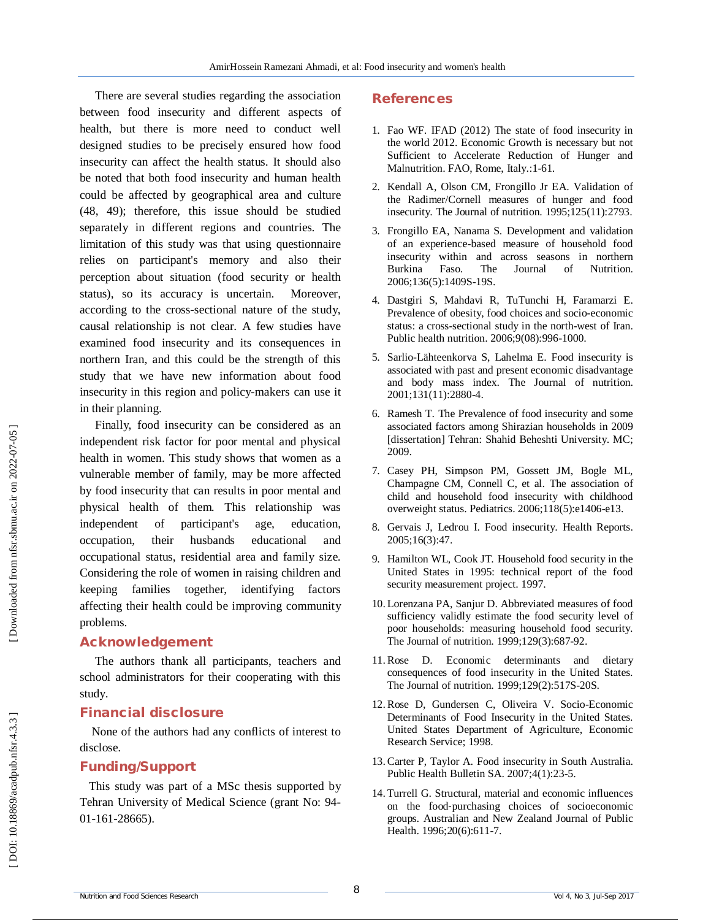There are several studies regarding the association between food insecurity and different aspects of health, but there is more need to conduct well designed studies to be precisely ensured how food insecurity can affect the health status. It should also be noted that both food insecurity and human health could be affected by geographical area and culture (48, 49); therefore, this issue should be studied separately in different regions and countries. The limitation of this study was that using questionnaire relies on participant's memory and also their perception about situation (food security or health status), so its accuracy is uncertain. Moreover, according to the cross -sectional nature of the study, causal relationship is not clear. A few studies have examined food insecurity and its consequences in northern Iran, and this could be the strength of this study that we have new information about food insecurity in this region and policy -makers can use it in their planning.

Finally, food insecurity can be considered as an independent risk factor for poor mental and physical health in women. This study shows that women as a vulnerable member of family, may be more affected by food insecurity that can results in poor mental and physical health of them. This relationship was independent of participant's age, education, occupation, their husbands educational and occupational status, residential area and family size. Considering the role of women in raising children and keeping families together, identifying factors affecting their health could be improving community problems.

#### **Acknowledgement**

The authors thank all participants, teachers and school administrators for their cooperating with this study.

### **Financial disclosure**

None of the authors had any conflicts of interest to disclose.

### **Funding/Support**

This study was part of a MSc thesis supported by Tehran University of Medical Science (grant No: 94 - 01 -161 -28665).

## **References**

- 1. Fao WF. IFAD (2012) The state of food insecurity in the world 2012. Economic Growth is necessary but not Sufficient to Accelerate Reduction of Hunger and Malnutrition. FAO, Rome, Italy.:1 -61 .
- 2. Kendall A, Olson CM, Frongillo Jr EA. Validation of the Radimer/Cornell measures of hunger and food insecurity. The Journal of nutrition. 1995;125(11):2793.
- 3. Frongillo EA, Nanama S. Development and validation of an experience -based measure of household food insecurity within and across seasons in northern Burkina Faso. The Journal of Nutrition. 2006;136(5):1409S -19S.
- 4. Dastgiri S, Mahdavi R, TuTunchi H, Faramarzi E. Prevalence of obesity, food choices and socio -economic status: a cross -sectional study in the north -west of Iran. Public health nutrition. 2006;9(08):996 -1000.
- 5. Sarlio -Lähteenkorva S, Lahelma E. Food insecurity is associated with past and present economic disadvantage and body mass index. The Journal of nutrition. 2001;131(11):2880 -4.
- 6. Ramesh T. The Prevalence of food insecurity and some associated factors among Shirazian households in 2009 [dissertation] Tehran: Shahid Beheshti University. MC; 2009.
- 7. Casey PH, Simpson PM, Gossett JM, Bogle ML, Champagne CM, Connell C, et al. The association of child and household food insecurity with childhood overweight status. Pediatrics. 2006;118(5):e1406 -e13.
- 8. Gervais J, Ledrou I. Food insecurity. Health Reports. 2005;16(3):47.
- 9. Hamilton WL, Cook JT. Household food security in the United States in 1995: technical report of the food security measurement project. 1997.
- 10. Lorenzana PA, Sanjur D. Abbreviated measures of food sufficiency validly estimate the food security level of poor households: measuring household food security. The Journal of nutrition. 1999;129(3):687 -92.
- 11.Rose D. Economic determinants and dietary consequences of food insecurity in the United States. The Journal of nutrition. 1999;129(2):517S -20S.
- 12.Rose D, Gundersen C, Oliveira V. Socio -Economic Determinants of Food Insecurity in the United States. United States Department of Agriculture, Economic Research Service; 1998.
- 13.Carter P, Taylor A. Food insecurity in South Australia. Public Health Bulletin SA. 2007;4(1):23 -5.
- 14. Turrell G. Structural, material and economic influences on the food ‐purchasing choices of socioeconomic groups. Australian and New Zealand Journal of Public Health. 1996;20(6):611 -7.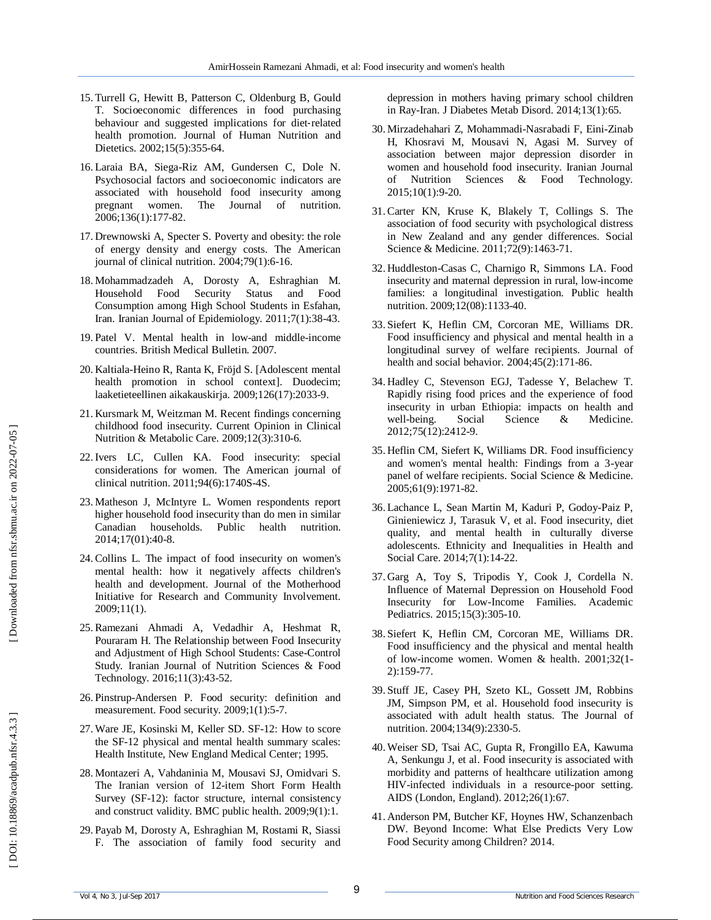- 15. Turrell G, Hewitt B, Patterson C, Oldenburg B, Gould T. Socioeconomic differences in food purchasing behaviour and suggested implications for diet ‐related health promotion. Journal of Human Nutrition and Dietetics. 2002;15(5):355 -64.
- 16. Laraia BA, Siega -Riz AM, Gundersen C, Dole N. Psychosocial factors and socioeconomic indicators are associated with household food insecurity among pregnant women. The Journal of nutrition. 2006;136(1):177 -82.
- 17. Drewnowski A, Specter S. Poverty and obesity: the role of energy density and energy costs. The American journal of clinical nutrition. 2004;79(1):6 -16.
- 18. Mohammadzadeh A, Dorosty A, Eshraghian M. Household Food Security Status and Food Consumption among High School Students in Esfahan, Iran. Iranian Journal of Epidemiology. 2011;7(1):38 -43.
- 19. Patel V. Mental health in low -and middle -income countries. British Medical Bulletin. 2007.
- 20. Kaltiala -Heino R, Ranta K, Fröjd S. [Adolescent mental health promotion in school context]. Duodecim; laaketieteellinen aikakauskirja. 2009;126(17):2033 -9.
- 21. Kursmark M, Weitzman M. Recent findings concerning childhood food insecurity. Current Opinion in Clinical Nutrition & Metabolic Care. 2009;12(3):310 -6.
- 22.Ivers LC, Cullen KA. Food insecurity: special considerations for women. The American journal of clinical nutrition. 2011;94(6):1740S -4S.
- 23. Matheson J, McIntyre L. Women respondents report higher household food insecurity than do men in similar Canadian households. Public health nutrition. 2014;17(01):40 -8.
- 24.Collins L. The impact of food insecurity on women's mental health: how it negatively affects children's health and development. Journal of the Motherhood Initiative for Research and Community Involvement. 2009;11(1).
- 25.Ramezani Ahmadi A, Vedadhir A, Heshmat R, Pouraram H. The Relationship between Food Insecurity and Adjustment of High School Students: Case-Control Study. Iranian Journal of Nutrition Sciences & Food Technology. 2016;11(3):43 -52.
- 26. Pinstrup -Andersen P. Food security: definition and measurement. Food security. 2009;1(1):5 -7.
- 27.Ware JE, Kosinski M, Keller SD. SF -12: How to score the SF -12 physical and mental health summary scales: Health Institute, New England Medical Center; 1995.
- 28. Montazeri A, Vahdaninia M, Mousavi SJ, Omidvari S. The Iranian version of 12 -item Short Form Health Survey (SF -12): factor structure, internal consistency and construct validity. BMC public health. 2009;9(1):1.
- 29. Payab M, Dorosty A, Eshraghian M, Rostami R, Siassi F. The association of family food security and

depression in mothers having primary school children in Ray -Iran. J Diabetes Metab Disord. 2014;13(1):65.

- 30. Mirzadehahari Z, Mohammadi -Nasrabadi F, Eini -Zinab H, Khosravi M, Mousavi N, Agasi M. Survey of association between major depression disorder in women and household food insecurity. Iranian Journal of Nutrition Sciences & Food Technology. 2015;10(1):9 -20.
- 31.Carter KN, Kruse K, Blakely T, Collings S. The association of food security with psychological distress in New Zealand and any gender differences. Social Science & Medicine. 2011;72(9):1463 -71.
- 32. Huddleston -Casas C, Charnigo R, Simmons LA. Food insecurity and maternal depression in rural, low -income families: a longitudinal investigation. Public health nutrition. 2009;12(08):1133 -40.
- 33. Siefert K, Heflin CM, Corcoran ME, Williams DR. Food insufficiency and physical and mental health in a longitudinal survey of welfare recipients. Journal of health and social behavior. 2004;45(2):171 -86.
- 34. Hadley C, Stevenson EGJ, Tadesse Y, Belachew T. Rapidly rising food prices and the experience of food insecurity in urban Ethiopia: impacts on health and well-being. Social Science & Medicine. 2012;75(12):2412 -9.
- 35. Heflin CM, Siefert K, Williams DR. Food insufficiency and women's mental health: Findings from a 3 -year panel of welfare recipients. Social Science & Medicine. 2005;61(9):1971 -82.
- 36. Lachance L, Sean Martin M, Kaduri P, Godoy -Paiz P, Ginieniewicz J, Tarasuk V, et al. Food insecurity, diet quality, and mental health in culturally diverse adolescents. Ethnicity and Inequalities in Health and Social Care. 2014;7(1):14 -22.
- 37. Garg A, Toy S, Tripodis Y, Cook J, Cordella N. Influence of Maternal Depression on Household Food Insecurity for Low -Income Families. Academic Pediatrics. 2015;15(3):305 -10.
- 38. Siefert K, Heflin CM, Corcoran ME, Williams DR. Food insufficiency and the physical and mental health of low -income women. Women & health. 2001;32(1 - 2):159 -77.
- 39. Stuff JE, Casey PH, Szeto KL, Gossett JM, Robbins JM, Simpson PM, et al. Household food insecurity is associated with adult health status. The Journal of nutrition. 2004;134(9):2330 -5.
- 40.Weiser SD, Tsai AC, Gupta R, Frongillo EA, Kawuma A, Senkungu J, et al. Food insecurity is associated with morbidity and patterns of healthcare utilization among HIV -infected individuals in a resource -poor setting. AIDS (London, England). 2012;26(1):67.
- 41 . Anderson PM, Butcher KF, Hoynes HW, Schanzenbach DW. Beyond Income: What Else Predicts Very Low Food Security among Children? 2014.

 [\[ DOI: 10.18869/acadpub.nfsr.4.3.3 \]](http://dx.doi.org/10.18869/acadpub.nfsr.4.3.3) [\[ Downloaded from nfsr.sbmu.ac.ir on 202](https://nfsr.sbmu.ac.ir/article-1-232-fa.html)2-07-05 ]

DOI: 10.18869/acadpub.nfsr.4.3.3

Downloaded from nfsr.sbmu.ac.ir on 2022-07-05